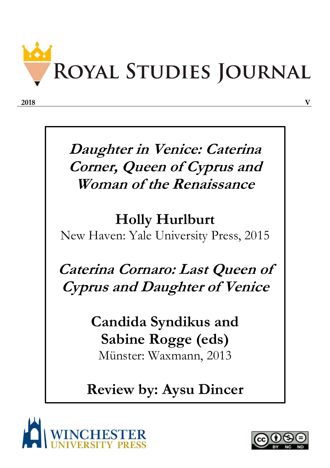

**Daughter in Venice: Caterina Corner, Queen of Cyprus and Woman of the Renaissance**

## **Holly Hurlburt**

New Haven: Yale University Press, 2015

**Caterina Cornaro: Last Queen of Cyprus and Daughter of Venice**

> **Candida Syndikus and Sabine Rogge (eds)** Münster: Waxmann, 2013

## **Review by: Aysu Dincer**



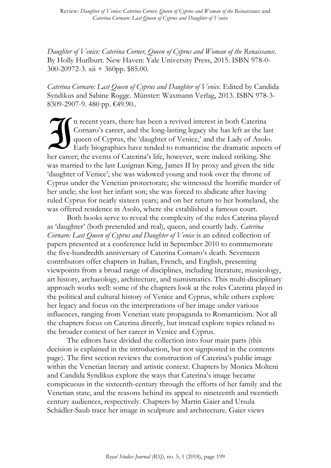*Daughter of Venice: Caterina Corner, Queen of Cyprus and Woman of the Renaissance*. By Holly Hurlburt. New Haven: Yale University Press, 2015. ISBN 978-0- 300-20972-3. xii + 360pp. \$85.00.

Caterina Cornaro: Last Queen of Cyprus and Daughter of Venice. Edited by Candida Syndikus and Sabine Rogge. Münster: Waxmann Verlag, 2013. ISBN 978-3- 8309-2907-9. 480 pp. €49.90..

n recent years, there has been a revived interest in both Caterina Cornaro's career, and the long-lasting legacy she has left as the last queen of Cyprus, the 'daughter of Venice,' and the Lady of Asolo. Early biographies have tended to romanticise the dramatic aspects of her career; the events of Caterina's life, however, were indeed striking. She was married to the last Lusignan King, James II by proxy and given the title 'daughter of Venice'; she was widowed young and took over the throne of Cyprus under the Venetian protectorate; she witnessed the horrific murder of her uncle; she lost her infant son; she was forced to abdicate after having ruled Cyprus for nearly sixteen years; and on her return to her homeland, she was offered residence in Asolo, where she established a famous court.  $\overline{\mathbf{J}}$ 

Both books serve to reveal the complexity of the roles Caterina played as 'daughter' (both pretended and real), queen, and courtly lady. *Caterina Cornaro: Last Queen of Cyprus and Daughter of Venice* is an edited collection of papers presented at a conference held in September 2010 to commemorate the five-hundredth anniversary of Caterina Cornaro's death. Seventeen contributors offer chapters in Italian, French, and English, presenting viewpoints from a broad range of disciplines, including literature, musicology, art history, archaeology, architecture, and numismatics. This multi-disciplinary approach works well: some of the chapters look at the roles Caterina played in the political and cultural history of Venice and Cyprus, while others explore her legacy and focus on the interpretations of her image under various influences, ranging from Venetian state propaganda to Romanticism. Not all the chapters focus on Caterina directly, but instead explore topics related to the broader context of her career in Venice and Cyprus.

The editors have divided the collection into four main parts (this decision is explained in the introduction, but not signposted in the contents page). The first section reviews the construction of Caterina's public image within the Venetian literary and artistic context. Chapters by Monica Molteni and Candida Syndikus explore the ways that Caterina's image became conspicuous in the sixteenth-century through the efforts of her family and the Venetian state, and the reasons behind its appeal to nineteenth and twentieth century audiences, respectively. Chapters by Martin Gaier and Ursula Schädler-Saub trace her image in sculpture and architecture. Gaier views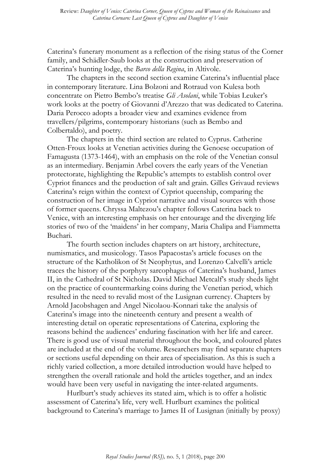Caterina's funerary monument as a reflection of the rising status of the Corner family, and Schädler-Saub looks at the construction and preservation of Caterina's hunting lodge, the *Barco della Regina*, in Altivole.

The chapters in the second section examine Caterina's influential place in contemporary literature. Lina Bolzoni and Rotraud von Kulesa both concentrate on Pietro Bembo's treatise *Gli Asolani*, while Tobias Leuker's work looks at the poetry of Giovanni d'Arezzo that was dedicated to Caterina. Daria Perocco adopts a broader view and examines evidence from travellers/pilgrims, contemporary historians (such as Bembo and Colbertaldo), and poetry.

The chapters in the third section are related to Cyprus. Catherine Otten-Froux looks at Venetian activities during the Genoese occupation of Famagusta (1373-1464), with an emphasis on the role of the Venetian consul as an intermediary. Benjamin Arbel covers the early years of the Venetian protectorate, highlighting the Republic's attempts to establish control over Cypriot finances and the production of salt and grain. Gilles Grivaud reviews Caterina's reign within the context of Cypriot queenship, comparing the construction of her image in Cypriot narrative and visual sources with those of former queens. Chryssa Maltezou's chapter follows Caterina back to Venice, with an interesting emphasis on her entourage and the diverging life stories of two of the 'maidens' in her company, Maria Chalipa and Fiammetta Buchari.

The fourth section includes chapters on art history, architecture, numismatics, and musicology. Tasos Papacostas's article focuses on the structure of the Katholikon of St Neophytus, and Lorenzo Calvelli's article traces the history of the porphyry sarcophagus of Caterina's husband, James II, in the Cathedral of St Nicholas. David Michael Metcalf's study sheds light on the practice of countermarking coins during the Venetian period, which resulted in the need to revalid most of the Lusignan currency. Chapters by Arnold Jacobshagen and Angel Nicolaou-Konnari take the analysis of Caterina's image into the nineteenth century and present a wealth of interesting detail on operatic representations of Caterina, exploring the reasons behind the audiences' enduring fascination with her life and career. There is good use of visual material throughout the book, and coloured plates are included at the end of the volume. Researchers may find separate chapters or sections useful depending on their area of specialisation. As this is such a richly varied collection, a more detailed introduction would have helped to strengthen the overall rationale and hold the articles together, and an index would have been very useful in navigating the inter-related arguments.

Hurlburt's study achieves its stated aim, which is to offer a holistic assessment of Caterina's life, very well. Hurlburt examines the political background to Caterina's marriage to James II of Lusignan (initially by proxy)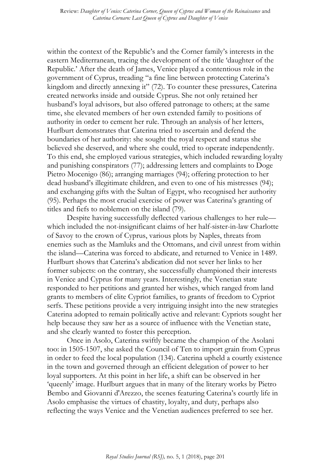within the context of the Republic's and the Corner family's interests in the eastern Mediterranean, tracing the development of the title 'daughter of the Republic.' After the death of James, Venice played a contentious role in the government of Cyprus, treading "a fine line between protecting Caterina's kingdom and directly annexing it" (72). To counter these pressures, Caterina created networks inside and outside Cyprus. She not only retained her husband's loyal advisors, but also offered patronage to others; at the same time, she elevated members of her own extended family to positions of authority in order to cement her rule. Through an analysis of her letters, Hurlburt demonstrates that Caterina tried to ascertain and defend the boundaries of her authority: she sought the royal respect and status she believed she deserved, and where she could, tried to operate independently. To this end, she employed various strategies, which included rewarding loyalty and punishing conspirators (77); addressing letters and complaints to Doge Pietro Mocenigo (86); arranging marriages (94); offering protection to her dead husband's illegitimate children, and even to one of his mistresses (94); and exchanging gifts with the Sultan of Egypt, who recognised her authority (95). Perhaps the most crucial exercise of power was Caterina's granting of titles and fiefs to noblemen on the island (79).

Despite having successfully deflected various challenges to her rule which included the not-insignificant claims of her half-sister-in-law Charlotte of Savoy to the crown of Cyprus, various plots by Naples, threats from enemies such as the Mamluks and the Ottomans, and civil unrest from within the island—Caterina was forced to abdicate, and returned to Venice in 1489. Hurlburt shows that Caterina's abdication did not sever her links to her former subjects: on the contrary, she successfully championed their interests in Venice and Cyprus for many years. Interestingly, the Venetian state responded to her petitions and granted her wishes, which ranged from land grants to members of elite Cypriot families, to grants of freedom to Cypriot serfs. These petitions provide a very intriguing insight into the new strategies Caterina adopted to remain politically active and relevant: Cypriots sought her help because they saw her as a source of influence with the Venetian state, and she clearly wanted to foster this perception.

Once in Asolo, Caterina swiftly became the champion of the Asolani too: in 1505-1507, she asked the Council of Ten to import grain from Cyprus in order to feed the local population (134). Caterina upheld a courtly existence in the town and governed through an efficient delegation of power to her loyal supporters. At this point in her life, a shift can be observed in her 'queenly' image. Hurlburt argues that in many of the literary works by Pietro Bembo and Giovanni d'Arezzo, the scenes featuring Caterina's courtly life in Asolo emphasise the virtues of chastity, loyalty, and duty, perhaps also reflecting the ways Venice and the Venetian audiences preferred to see her.